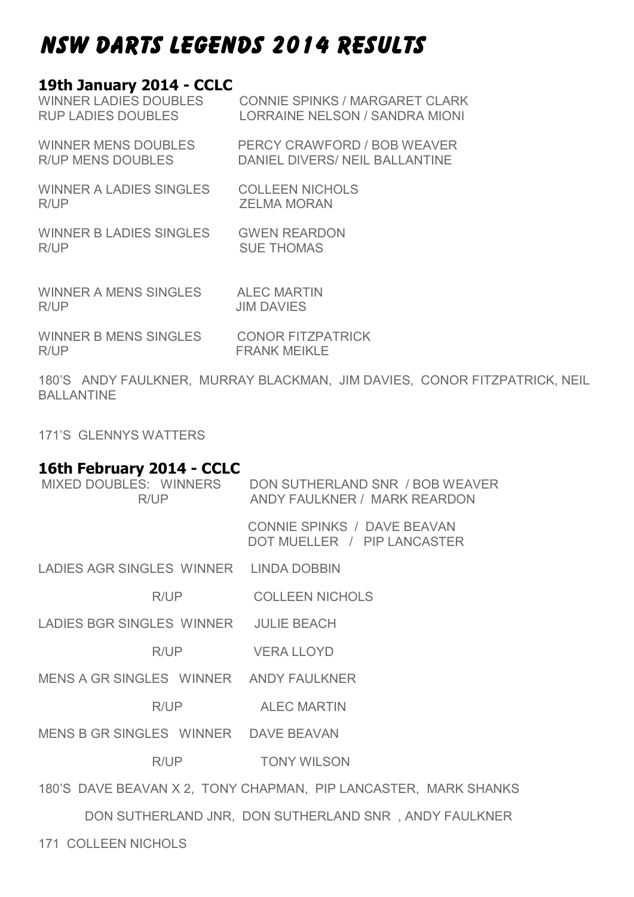# NSW DARTS LEGENDS 2014 RESULTS

#### **19th January 2014 - CCLC**

| <b>WINNER LADIES DOUBLES</b>   | <b>CONNIE SPINKS / MARGARET CLARK</b> |
|--------------------------------|---------------------------------------|
| <b>RUP LADIES DOUBLES</b>      | LORRAINE NELSON / SANDRA MIONI        |
| <b>WINNER MENS DOUBLES</b>     | PERCY CRAWFORD / BOB WEAVER           |
| <b>R/UP MENS DOUBLES</b>       | DANIEL DIVERS/ NEIL BALLANTINE        |
| <b>WINNER A LADIES SINGLES</b> | <b>COLLEEN NICHOLS</b>                |
| R/UP                           | <b>ZELMA MORAN</b>                    |
| <b>WINNER B LADIES SINGLES</b> | <b>GWEN REARDON</b>                   |
| R/UP                           | <b>SUE THOMAS</b>                     |
| WINNER A MENS SINGLES          | <b>ALEC MARTIN</b>                    |
| R/UP                           | <b>JIM DAVIES</b>                     |
| <b>WINNER B MENS SINGLES</b>   | <b>CONOR FITZPATRICK</b>              |
| R/UP                           | <b>FRANK MEIKLE</b>                   |

180'S ANDY FAULKNER, MURRAY BLACKMAN, JIM DAVIES, CONOR FITZPATRICK, NEIL BALLANTINE

171'S GLENNYS WATTERS

#### **16th February 2014 - CCLC**

| R/UP                                   | MIXED DOUBLES: WINNERS DON SUTHERLAND SNR / BOB WEAVER<br>ANDY FAULKNER / MARK REARDON |  |  |  |
|----------------------------------------|----------------------------------------------------------------------------------------|--|--|--|
|                                        | CONNIE SPINKS / DAVE BEAVAN<br>DOT MUELLER / PIP LANCASTER                             |  |  |  |
| LADIES AGR SINGLES WINNER LINDA DOBBIN |                                                                                        |  |  |  |
| R/UP                                   | <b>COLLEEN NICHOLS</b>                                                                 |  |  |  |
| LADIES BGR SINGLES WINNER JULIE BEACH  |                                                                                        |  |  |  |
| R/UP                                   | <b>VERA LLOYD</b>                                                                      |  |  |  |
| MENS A GR SINGLES WINNER ANDY FAULKNER |                                                                                        |  |  |  |
| R/UP                                   | <b>ALEC MARTIN</b>                                                                     |  |  |  |
| MENS B GR SINGLES WINNER DAVE BEAVAN   |                                                                                        |  |  |  |
| R/UP                                   | <b>TONY WILSON</b>                                                                     |  |  |  |
|                                        | 180'S DAVE BEAVAN X 2, TONY CHAPMAN, PIP LANCASTER, MARK SHANKS                        |  |  |  |
|                                        | DON SUTHERLAND JNR, DON SUTHERLAND SNR, ANDY FAULKNER                                  |  |  |  |

171 COLLEEN NICHOLS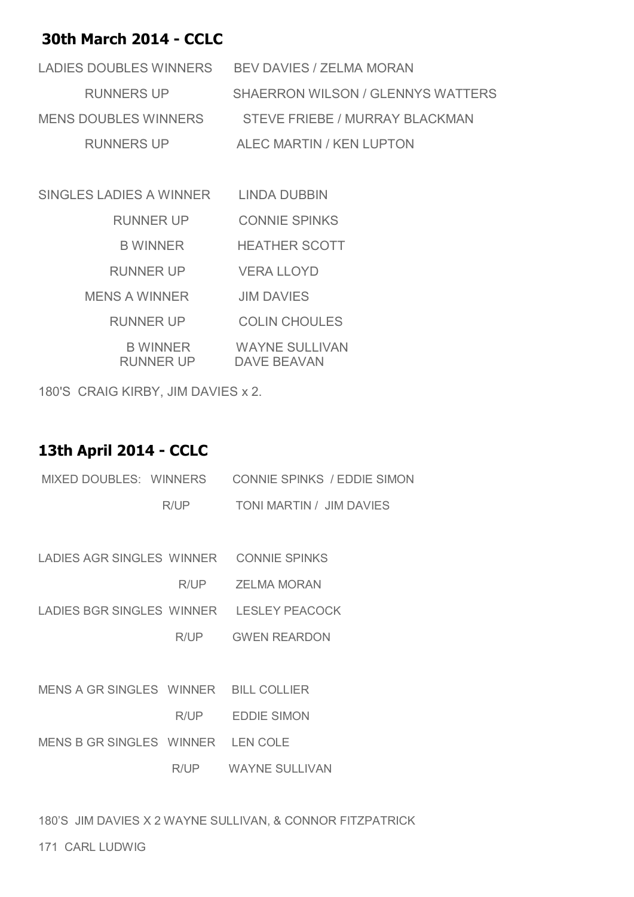### **30th March 2014 - CCLC**

| LADIES DOUBLES WINNERS      | <b>BEV DAVIES / ZELMA MORAN</b>   |
|-----------------------------|-----------------------------------|
| <b>RUNNERS UP</b>           | SHAERRON WILSON / GLENNYS WATTERS |
| <b>MENS DOUBLES WINNERS</b> | STEVE FRIEBE / MURRAY BLACKMAN    |
| <b>RUNNERS UP</b>           | ALEC MARTIN / KEN LUPTON          |

| <b>SINGLES LADIES A WINNER</b> | LINDA DUBBIN                                |
|--------------------------------|---------------------------------------------|
| <b>RUNNER UP</b>               | <b>CONNIE SPINKS</b>                        |
| <b>B WINNER</b>                | <b>HEATHER SCOTT</b>                        |
| <b>RUNNER UP</b>               | VERA LLOYD                                  |
| <b>MENS A WINNER</b>           | <b>JIM DAVIES</b>                           |
| <b>RUNNER UP</b>               | <b>COLIN CHOULES</b>                        |
| <b>B WINNER</b><br>RUNNER UP   | <b>WAYNE SULLIVAN</b><br><b>DAVE BEAVAN</b> |

180'S CRAIG KIRBY, JIM DAVIES x 2.

# **13th April 2014 - CCLC**

| MIXED DOUBLES: WINNERS                  |      | <b>CONNIE SPINKS / EDDIE SIMON</b>       |  |
|-----------------------------------------|------|------------------------------------------|--|
|                                         | R/UP | TONI MARTIN / JIM DAVIES                 |  |
|                                         |      |                                          |  |
| LADIES AGR SINGLES WINNER CONNIE SPINKS |      |                                          |  |
|                                         |      | R/UP ZELMA MORAN                         |  |
|                                         |      | LADIES BGR SINGLES WINNER LESLEY PEACOCK |  |
|                                         | R/UP | <b>GWEN REARDON</b>                      |  |
|                                         |      |                                          |  |
| MENS A GR SINGLES WINNER BILL COLLIER   |      |                                          |  |
|                                         | R/UP | <b>EDDIE SIMON</b>                       |  |
| MENS B GR SINGLES WINNER LEN COLE       |      |                                          |  |
|                                         |      | R/UP WAYNE SULLIVAN                      |  |
|                                         |      |                                          |  |

180'S JIM DAVIES X 2 WAYNE SULLIVAN, & CONNOR FITZPATRICK

171 CARL LUDWIG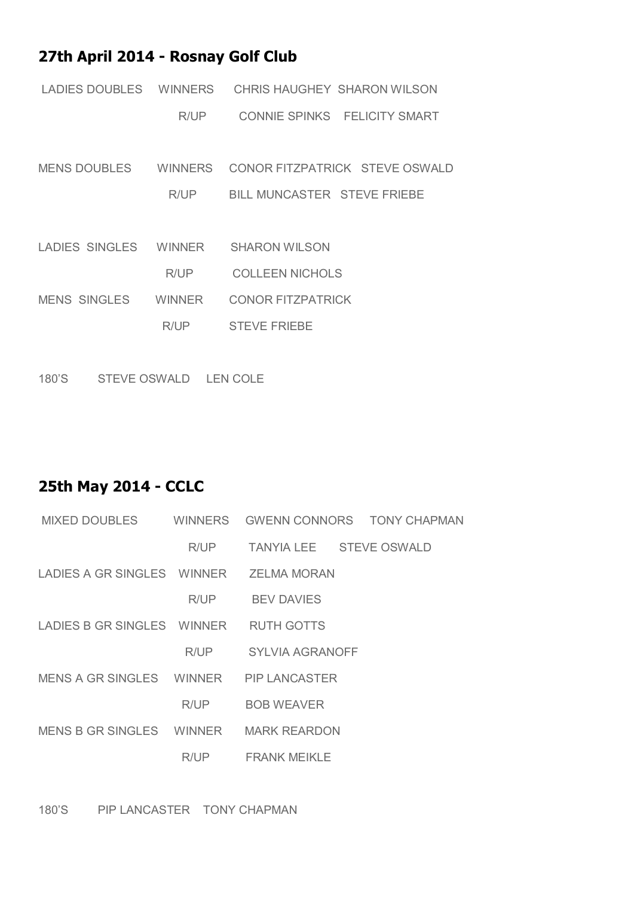# **27th April 2014 - Rosnay Golf Club**

| LADIES DOUBLES WINNERS |               | CHRIS HAUGHEY SHARON WILSON        |
|------------------------|---------------|------------------------------------|
|                        | R/UP          | CONNIE SPINKS FELICITY SMART       |
|                        |               |                                    |
| MENS DOUBLES WINNERS   |               | CONOR FITZPATRICK STEVE OSWALD     |
|                        | R/UP          | <b>BILL MUNCASTER STEVE FRIEBE</b> |
|                        |               |                                    |
| LADIES SINGLES WINNER  |               | <b>SHARON WILSON</b>               |
|                        | R/UP          | COLLEEN NICHOLS                    |
| <b>MENS SINGLES</b>    | <b>WINNER</b> | <b>CONOR FITZPATRICK</b>           |
|                        | R/UP          | <b>STEVE FRIEBE</b>                |
|                        |               |                                    |

180'S STEVE OSWALD LEN COLE

# **25th May 2014 - CCLC**

| MIXED DOUBLES              |        |                         | WINNERS GWENN CONNORS TONY CHAPMAN |
|----------------------------|--------|-------------------------|------------------------------------|
|                            | R/UP   | TANYIA LEE STEVE OSWALD |                                    |
|                            |        |                         |                                    |
|                            | R/UP - | <b>BEV DAVIES</b>       |                                    |
| LADIES B GR SINGLES WINNER |        | <b>RUTH GOTTS</b>       |                                    |
|                            | R/UP   | <b>SYLVIA AGRANOFF</b>  |                                    |
|                            |        |                         |                                    |
|                            | R/UP   | <b>BOB WEAVER</b>       |                                    |
|                            |        |                         |                                    |
|                            | R/UP   | <b>FRANK MEIKLE</b>     |                                    |

180'S PIP LANCASTER TONY CHAPMAN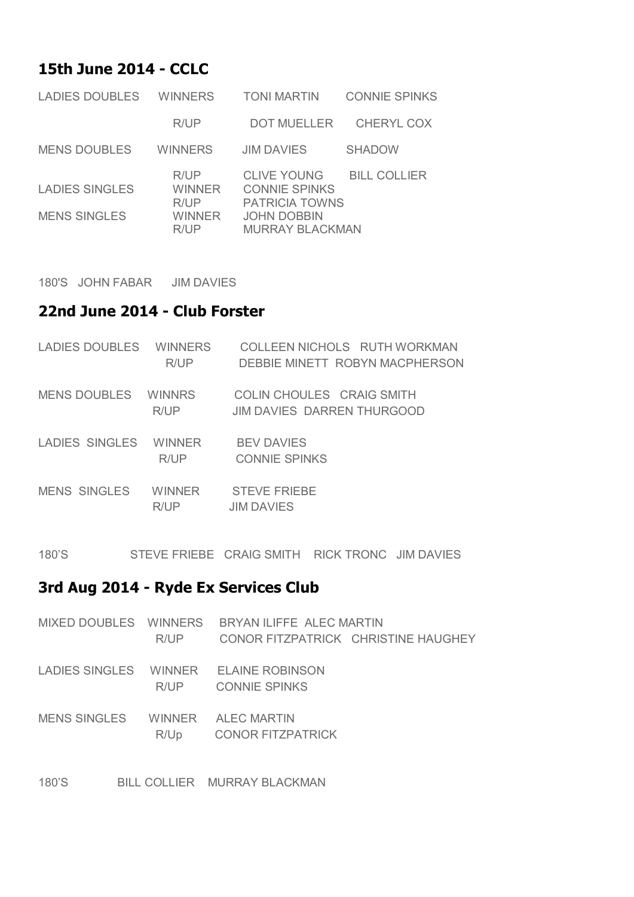# **15th June 2014 - CCLC**

| <b>LADIES DOUBLES</b>                        | <b>WINNERS</b>                           | <b>TONI MARTIN</b>                                                                                                  | <b>CONNIE SPINKS</b> |
|----------------------------------------------|------------------------------------------|---------------------------------------------------------------------------------------------------------------------|----------------------|
|                                              | R/UP                                     | <b>DOT MUELLER</b>                                                                                                  | <b>CHERYL COX</b>    |
| <b>MENS DOUBLES</b>                          | <b>WINNERS</b>                           | <b>JIM DAVIES</b>                                                                                                   | <b>SHADOW</b>        |
| <b>LADIES SINGLES</b><br><b>MENS SINGLES</b> | R/UP<br>WINNER<br>R/UP<br>WINNER<br>R/IP | <b>CLIVE YOUNG</b><br><b>CONNIE SPINKS</b><br><b>PATRICIA TOWNS</b><br><b>JOHN DOBBIN</b><br><b>MURRAY BLACKMAN</b> | <b>BILL COLLIER</b>  |

180'S JOHN FABAR JIM DAVIES

#### **22nd June 2014 - Club Forster**

| LADIES DOUBLES | <b>WINNERS</b><br>R/UP | COLLEEN NICHOLS RUTH WORKMAN<br>DEBBIE MINETT ROBYN MACPHERSON |
|----------------|------------------------|----------------------------------------------------------------|
| MENS DOUBLES   | <b>WINNRS</b><br>R/UP  | COLIN CHOULES CRAIG SMITH<br>JIM DAVIES DARREN THURGOOD        |
| LADIES SINGLES | <b>WINNER</b><br>R/IP  | <b>BEV DAVIES</b><br><b>CONNIE SPINKS</b>                      |
| MENS SINGLES   | <b>WINNFR</b><br>R/UP  | <b>STEVE FRIEBE</b><br><b>JIM DAVIES</b>                       |

180'S STEVE FRIEBE CRAIG SMITH RICK TRONC JIM DAVIES

#### **3rd Aug 2014 - Ryde Ex Services Club**

|                     |      | MIXED DOUBLES WINNERS BRYAN ILIFFE ALEC MARTIN |                                     |
|---------------------|------|------------------------------------------------|-------------------------------------|
|                     | R/UP |                                                | CONOR FITZPATRICK CHRISTINE HAUGHEY |
|                     |      | LADIES SINGLES WINNER ELAINE ROBINSON          |                                     |
|                     | R/UP | <b>CONNIE SPINKS</b>                           |                                     |
| <b>MENS SINGLES</b> |      | WINNER ALEC MARTIN                             |                                     |
|                     | R/Up | <b>CONOR FITZPATRICK</b>                       |                                     |
|                     |      |                                                |                                     |

180'S BILL COLLIER MURRAY BLACKMAN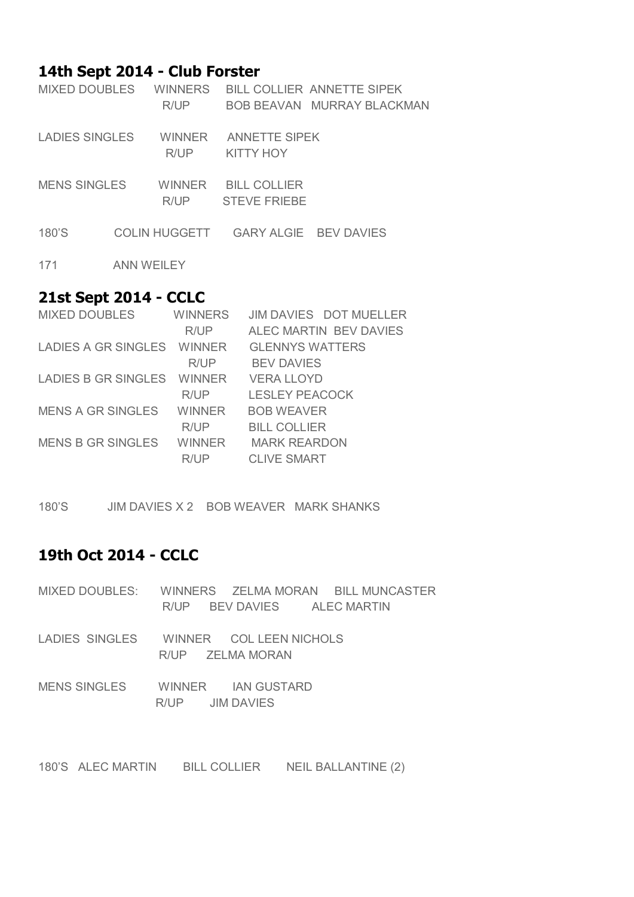#### **14th Sept 2014 - Club Forster**

| MIXED DOUBLES       |            | <b>WINNERS</b><br>R/UP |                                            | <b>BILL COLLIER ANNETTE SIPEK</b><br>BOB BEAVAN MURRAY BLACKMAN |
|---------------------|------------|------------------------|--------------------------------------------|-----------------------------------------------------------------|
| LADIES SINGLES      |            | <b>WINNER</b><br>R/UP  | <b>ANNETTE SIPEK</b><br><b>KITTY HOY</b>   |                                                                 |
| <b>MENS SINGLES</b> |            | WINNER<br>R/UP         | <b>BILL COLLIER</b><br><b>STEVE FRIEBE</b> |                                                                 |
| 180'S               |            | COLIN HUGGETT          |                                            | GARY ALGIE BEV DAVIES                                           |
| 171                 | ANN WEILEY |                        |                                            |                                                                 |

#### **21st Sept 2014 - CCLC**

| <b>MIXED DOUBLES</b>       | <b>WINNERS</b> | <b>JIM DAVIES DOT MUELLER</b> |
|----------------------------|----------------|-------------------------------|
|                            | R/UP           | ALEC MARTIN BEV DAVIES        |
| LADIES A GR SINGLES WINNER |                | <b>GLENNYS WATTERS</b>        |
|                            | R/UP           | <b>BEV DAVIES</b>             |
| LADIES B GR SINGLES        | <b>WINNER</b>  | VERA LLOYD                    |
|                            | R/UP           | <b>LESLEY PEACOCK</b>         |
| <b>MENS A GR SINGLES</b>   | <b>WINNER</b>  | <b>BOB WEAVER</b>             |
|                            | R/UP           | <b>BILL COLLIER</b>           |
| <b>MENS B GR SINGLES</b>   | <b>WINNER</b>  | <b>MARK REARDON</b>           |
|                            | R/UP           | <b>CLIVE SMART</b>            |

180'S JIM DAVIES X 2 BOB WEAVER MARK SHANKS

### **19th Oct 2014 - CCLC**

- MIXED DOUBLES: WINNERS ZELMA MORAN BILL MUNCASTER R/UP BEV DAVIES ALEC MARTIN
- LADIES SINGLES WINNER COL LEEN NICHOLS R/UP ZELMA MORAN
- MENS SINGLES WINNER IAN GUSTARD R/UP JIM DAVIES

180'S ALEC MARTIN BILL COLLIER NEIL BALLANTINE (2)